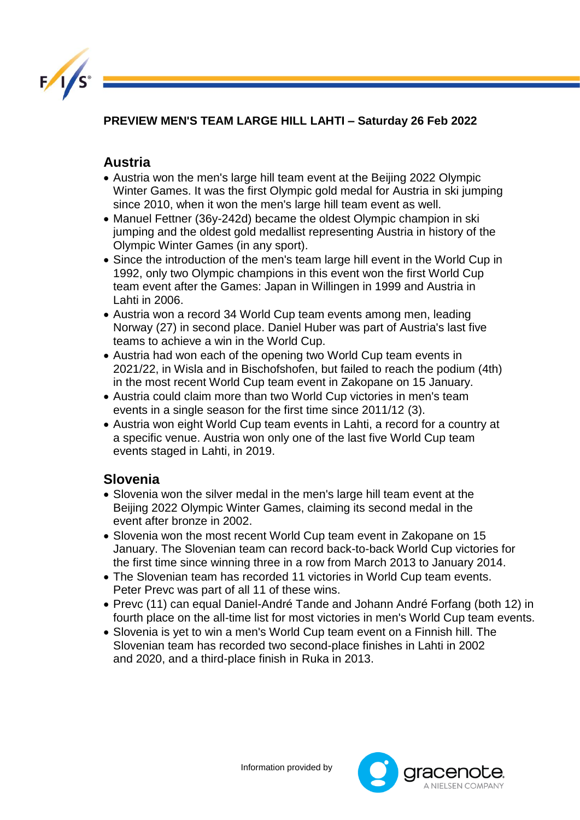

## **PREVIEW MEN'S TEAM LARGE HILL LAHTI – Saturday 26 Feb 2022**

## **Austria**

- Austria won the men's large hill team event at the Beijing 2022 Olympic Winter Games. It was the first Olympic gold medal for Austria in ski jumping since 2010, when it won the men's large hill team event as well.
- Manuel Fettner (36y-242d) became the oldest Olympic champion in ski jumping and the oldest gold medallist representing Austria in history of the Olympic Winter Games (in any sport).
- Since the introduction of the men's team large hill event in the World Cup in 1992, only two Olympic champions in this event won the first World Cup team event after the Games: Japan in Willingen in 1999 and Austria in Lahti in 2006.
- Austria won a record 34 World Cup team events among men, leading Norway (27) in second place. Daniel Huber was part of Austria's last five teams to achieve a win in the World Cup.
- Austria had won each of the opening two World Cup team events in 2021/22, in Wisla and in Bischofshofen, but failed to reach the podium (4th) in the most recent World Cup team event in Zakopane on 15 January.
- Austria could claim more than two World Cup victories in men's team events in a single season for the first time since 2011/12 (3).
- Austria won eight World Cup team events in Lahti, a record for a country at a specific venue. Austria won only one of the last five World Cup team events staged in Lahti, in 2019.

## **Slovenia**

- Slovenia won the silver medal in the men's large hill team event at the Beijing 2022 Olympic Winter Games, claiming its second medal in the event after bronze in 2002.
- Slovenia won the most recent World Cup team event in Zakopane on 15 January. The Slovenian team can record back-to-back World Cup victories for the first time since winning three in a row from March 2013 to January 2014.
- The Slovenian team has recorded 11 victories in World Cup team events. Peter Prevc was part of all 11 of these wins.
- Prevc (11) can equal Daniel-André Tande and Johann André Forfang (both 12) in fourth place on the all-time list for most victories in men's World Cup team events.
- Slovenia is yet to win a men's World Cup team event on a Finnish hill. The Slovenian team has recorded two second-place finishes in Lahti in 2002 and 2020, and a third-place finish in Ruka in 2013.

Information provided by